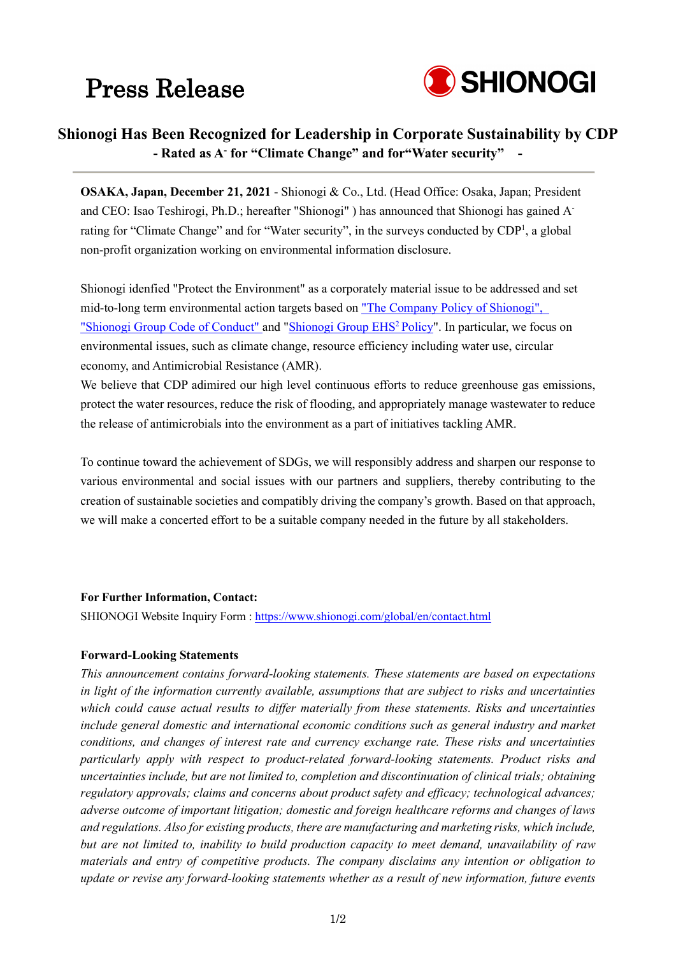## Press Release



## **Shionogi Has Been Recognized for Leadership in Corporate Sustainability by CDP - Rated as A- for "Climate Change" and for"Water security" -**

**OSAKA, Japan, December 21, 2021** - Shionogi & Co., Ltd. (Head Office: Osaka, Japan; President and CEO: Isao Teshirogi, Ph.D.; hereafter "Shionogi" ) has announced that Shionogi has gained Arating for "Climate Change" and for "Water security", in the surveys conducted by CDP<sup>1</sup>, a global non-profit organization working on environmental information disclosure.

Shionogi idenfied "Protect the Environment" as a corporately material issue to be addressed and set mid-to-long term environmental action targets based on ["The Company Policy of Shionogi",](https://www.shionogi.com/global/en/company/business.html)  ["Shionogi Group Code of Conduct" a](https://www.shionogi.com/global/en/company/business.html)nd "Shionogi Group EHS<sup>2</sup> Policy". In particular, we focus on environmental issues, such as climate change, resource efficiency including water use, circular economy, and Antimicrobial Resistance (AMR).

We believe that CDP adimired our high level continuous efforts to reduce greenhouse gas emissions, protect the water resources, reduce the risk of flooding, and appropriately manage wastewater to reduce the release of antimicrobials into the environment as a part of initiatives tackling AMR.

To continue toward the achievement of SDGs, we will responsibly address and sharpen our response to various environmental and social issues with our partners and suppliers, thereby contributing to the creation of sustainable societies and compatibly driving the company's growth. Based on that approach, we will make a concerted effort to be a suitable company needed in the future by all stakeholders.

#### **For Further Information, Contact:**

SHIONOGI Website Inquiry Form [: https://www.shionogi.com/global/en/contact.html](https://www.shionogi.com/global/en/contact.html)

#### **Forward-Looking Statements**

*This announcement contains forward-looking statements. These statements are based on expectations in light of the information currently available, assumptions that are subject to risks and uncertainties which could cause actual results to differ materially from these statements. Risks and uncertainties include general domestic and international economic conditions such as general industry and market conditions, and changes of interest rate and currency exchange rate. These risks and uncertainties particularly apply with respect to product-related forward-looking statements. Product risks and uncertainties include, but are not limited to, completion and discontinuation of clinical trials; obtaining regulatory approvals; claims and concerns about product safety and efficacy; technological advances; adverse outcome of important litigation; domestic and foreign healthcare reforms and changes of laws and regulations. Also for existing products, there are manufacturing and marketing risks, which include, but are not limited to, inability to build production capacity to meet demand, unavailability of raw materials and entry of competitive products. The company disclaims any intention or obligation to update or revise any forward-looking statements whether as a result of new information, future events*